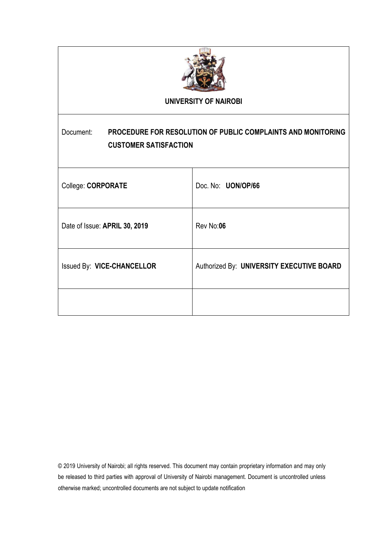

### **UNIVERSITY OF NAIROBI**

# Document: **PROCEDURE FOR RESOLUTION OF PUBLIC COMPLAINTS AND MONITORING CUSTOMER SATISFACTION**

| College: CORPORATE            | Doc. No: UON/OP/66                        |
|-------------------------------|-------------------------------------------|
| Date of Issue: APRIL 30, 2019 | Rev No:06                                 |
| Issued By: VICE-CHANCELLOR    | Authorized By: UNIVERSITY EXECUTIVE BOARD |
|                               |                                           |

© 2019 University of Nairobi; all rights reserved. This document may contain proprietary information and may only be released to third parties with approval of University of Nairobi management. Document is uncontrolled unless otherwise marked; uncontrolled documents are not subject to update notification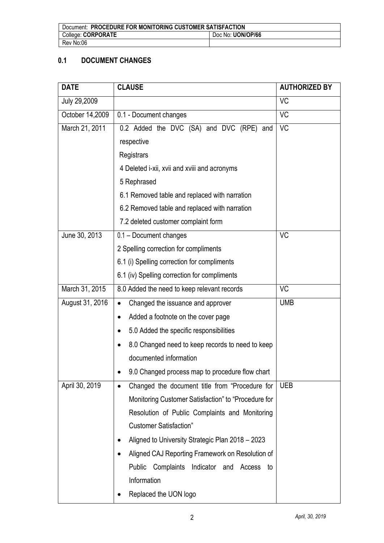| Document: PROCEDURE FOR MONITORING CUSTOMER SATISFACTION |                   |  |
|----------------------------------------------------------|-------------------|--|
| College: CORPORATE                                       | Doc No: UON/OP/66 |  |
| Rev No:06                                                |                   |  |

# **0.1 DOCUMENT CHANGES**

| <b>DATE</b>     | <b>CLAUSE</b><br><b>AUTHORIZED BY</b>                       |            |  |
|-----------------|-------------------------------------------------------------|------------|--|
| July 29,2009    |                                                             | <b>VC</b>  |  |
| October 14,2009 | 0.1 - Document changes                                      | <b>VC</b>  |  |
| March 21, 2011  | 0.2 Added the DVC (SA) and DVC (RPE) and                    | <b>VC</b>  |  |
|                 | respective                                                  |            |  |
|                 | Registrars                                                  |            |  |
|                 | 4 Deleted i-xii, xvii and xviii and acronyms                |            |  |
|                 | 5 Rephrased                                                 |            |  |
|                 | 6.1 Removed table and replaced with narration               |            |  |
|                 | 6.2 Removed table and replaced with narration               |            |  |
|                 | 7.2 deleted customer complaint form                         |            |  |
| June 30, 2013   | 0.1 - Document changes                                      | <b>VC</b>  |  |
|                 | 2 Spelling correction for compliments                       |            |  |
|                 | 6.1 (i) Spelling correction for compliments                 |            |  |
|                 | 6.1 (iv) Spelling correction for compliments                |            |  |
| March 31, 2015  | 8.0 Added the need to keep relevant records                 | <b>VC</b>  |  |
| August 31, 2016 | Changed the issuance and approver<br>$\bullet$              | <b>UMB</b> |  |
|                 | Added a footnote on the cover page                          |            |  |
|                 | 5.0 Added the specific responsibilities<br>$\bullet$        |            |  |
|                 | 8.0 Changed need to keep records to need to keep            |            |  |
|                 | documented information                                      |            |  |
|                 | 9.0 Changed process map to procedure flow chart             |            |  |
| April 30, 2019  | Changed the document title from "Procedure for<br>$\bullet$ | <b>UEB</b> |  |
|                 | Monitoring Customer Satisfaction" to "Procedure for         |            |  |
|                 | Resolution of Public Complaints and Monitoring              |            |  |
|                 | <b>Customer Satisfaction"</b>                               |            |  |
|                 | Aligned to University Strategic Plan 2018 - 2023            |            |  |
|                 | Aligned CAJ Reporting Framework on Resolution of            |            |  |
|                 | Complaints Indicator and Access to<br>Public                |            |  |
|                 | Information                                                 |            |  |
|                 | Replaced the UON logo                                       |            |  |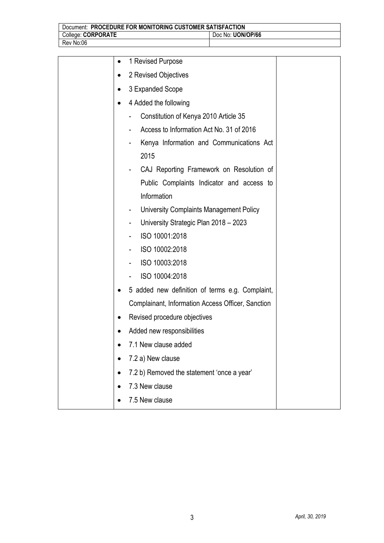| Document: PROCEDURE FOR MONITORING CUSTOMER SATISFACTION |                   |  |
|----------------------------------------------------------|-------------------|--|
| College: CORPORATE                                       | Doc No: UON/OP/66 |  |
| Rev No:06                                                |                   |  |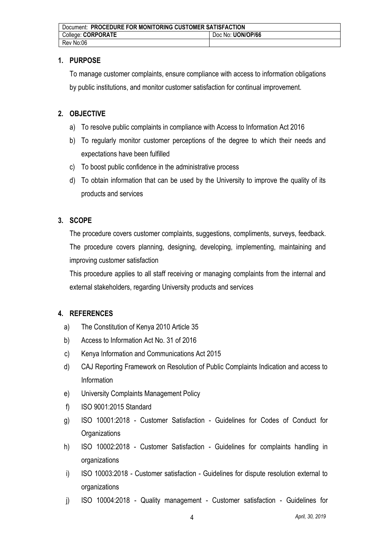| Document: PROCEDURE FOR MONITORING CUSTOMER SATISFACTION |                   |  |
|----------------------------------------------------------|-------------------|--|
| College: CORPORATE                                       | Doc No: UON/OP/66 |  |
| Rev No:06                                                |                   |  |

### **1. PURPOSE**

To manage customer complaints, ensure compliance with access to information obligations by public institutions, and monitor customer satisfaction for continual improvement.

# **2. OBJECTIVE**

- a) To resolve public complaints in compliance with Access to Information Act 2016
- b) To regularly monitor customer perceptions of the degree to which their needs and expectations have been fulfilled
- c) To boost public confidence in the administrative process
- d) To obtain information that can be used by the University to improve the quality of its products and services

### **3. SCOPE**

The procedure covers customer complaints, suggestions, compliments, surveys, feedback. The procedure covers planning, designing, developing, implementing, maintaining and improving customer satisfaction

This procedure applies to all staff receiving or managing complaints from the internal and external stakeholders, regarding University products and services

# **4. REFERENCES**

- a) The Constitution of Kenya 2010 Article 35
- b) Access to Information Act No. 31 of 2016
- c) Kenya Information and Communications Act 2015
- d) CAJ Reporting Framework on Resolution of Public Complaints Indication and access to Information
- e) University Complaints Management Policy
- f) ISO 9001:2015 Standard
- g) ISO 10001:2018 Customer Satisfaction Guidelines for Codes of Conduct for **Organizations**
- h) ISO 10002:2018 Customer Satisfaction Guidelines for complaints handling in organizations
- i) ISO 10003:2018 Customer satisfaction Guidelines for dispute resolution external to organizations
- j) ISO 10004:2018 Quality management Customer satisfaction Guidelines for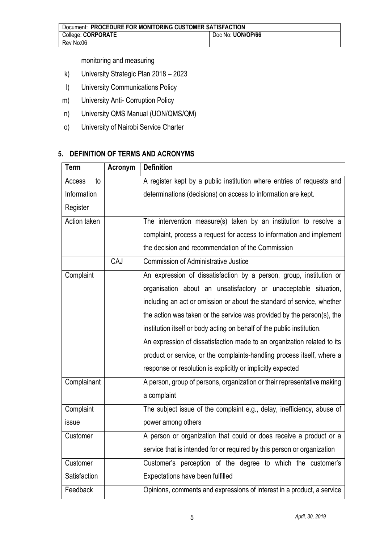| Document: PROCEDURE FOR MONITORING CUSTOMER SATISFACTION |                   |  |
|----------------------------------------------------------|-------------------|--|
| College: CORPORATE                                       | Doc No: UON/OP/66 |  |
| Rev No:06                                                |                   |  |

monitoring and measuring

- k) University Strategic Plan 2018 2023
- l) University Communications Policy
- m) University Anti- Corruption Policy
- n) University QMS Manual (UON/QMS/QM)
- o) University of Nairobi Service Charter

## **5. DEFINITION OF TERMS AND ACRONYMS**

| <b>Term</b>  | Acronym | <b>Definition</b>                                                       |
|--------------|---------|-------------------------------------------------------------------------|
| to<br>Access |         | A register kept by a public institution where entries of requests and   |
| Information  |         | determinations (decisions) on access to information are kept.           |
| Register     |         |                                                                         |
| Action taken |         | The intervention measure(s) taken by an institution to resolve a        |
|              |         | complaint, process a request for access to information and implement    |
|              |         | the decision and recommendation of the Commission                       |
|              | CAJ     | <b>Commission of Administrative Justice</b>                             |
| Complaint    |         | An expression of dissatisfaction by a person, group, institution or     |
|              |         | organisation about an unsatisfactory or unacceptable situation,         |
|              |         | including an act or omission or about the standard of service, whether  |
|              |         | the action was taken or the service was provided by the person(s), the  |
|              |         | institution itself or body acting on behalf of the public institution.  |
|              |         | An expression of dissatisfaction made to an organization related to its |
|              |         | product or service, or the complaints-handling process itself, where a  |
|              |         | response or resolution is explicitly or implicitly expected             |
| Complainant  |         | A person, group of persons, organization or their representative making |
|              |         | a complaint                                                             |
| Complaint    |         | The subject issue of the complaint e.g., delay, inefficiency, abuse of  |
| issue        |         | power among others                                                      |
| Customer     |         | A person or organization that could or does receive a product or a      |
|              |         | service that is intended for or required by this person or organization |
| Customer     |         | Customer's perception of the degree to which the customer's             |
| Satisfaction |         | Expectations have been fulfilled                                        |
| Feedback     |         | Opinions, comments and expressions of interest in a product, a service  |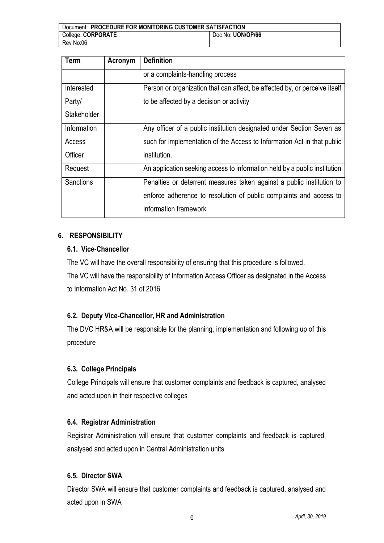| Document: PROCEDURE FOR MONITORING CUSTOMER SATISFACTION |                   |  |
|----------------------------------------------------------|-------------------|--|
| College: CORPORATE                                       | Doc No: UON/OP/66 |  |
| Rev No:06                                                |                   |  |

| <b>Term</b>      | Acronym | <b>Definition</b>                                                          |
|------------------|---------|----------------------------------------------------------------------------|
|                  |         | or a complaints-handling process                                           |
| Interested       |         | Person or organization that can affect, be affected by, or perceive itself |
| Party/           |         | to be affected by a decision or activity                                   |
| Stakeholder      |         |                                                                            |
| Information      |         | Any officer of a public institution designated under Section Seven as      |
| Access           |         | such for implementation of the Access to Information Act in that public    |
| Officer          |         | institution.                                                               |
| Request          |         | An application seeking access to information held by a public institution  |
| <b>Sanctions</b> |         | Penalties or deterrent measures taken against a public institution to      |
|                  |         | enforce adherence to resolution of public complaints and access to         |
|                  |         | information framework                                                      |

#### **6. RESPONSIBILITY**

#### **6.1. Vice-Chancellor**

The VC will have the overall responsibility of ensuring that this procedure is followed.

The VC will have the responsibility of Information Access Officer as designated in the Access to Information Act No. 31 of 2016

### **6.2. Deputy Vice-Chancellor, HR and Administration**

The DVC HR&A will be responsible for the planning, implementation and following up of this procedure

### **6.3. College Principals**

College Principals will ensure that customer complaints and feedback is captured, analysed and acted upon in their respective colleges

#### **6.4. Registrar Administration**

Registrar Administration will ensure that customer complaints and feedback is captured, analysed and acted upon in Central Administration units

#### **6.5. Director SWA**

Director SWA will ensure that customer complaints and feedback is captured, analysed and acted upon in SWA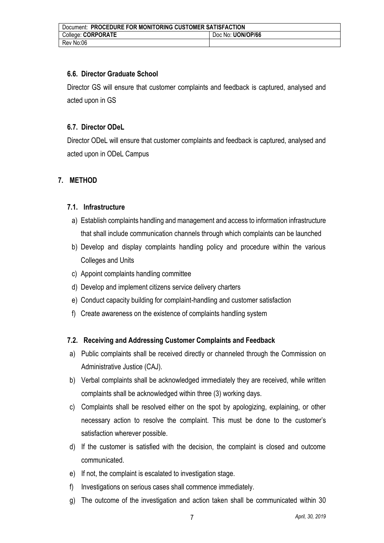| Document: PROCEDURE FOR MONITORING CUSTOMER SATISFACTION |                   |  |
|----------------------------------------------------------|-------------------|--|
| College: CORPORATE                                       | Doc No: UON/OP/66 |  |
| Rev No:06                                                |                   |  |

### **6.6. Director Graduate School**

Director GS will ensure that customer complaints and feedback is captured, analysed and acted upon in GS

### **6.7. Director ODeL**

Director ODeL will ensure that customer complaints and feedback is captured, analysed and acted upon in ODeL Campus

### **7. METHOD**

#### **7.1. Infrastructure**

- a) Establish complaints handling and management and access to information infrastructure that shall include communication channels through which complaints can be launched
- b) Develop and display complaints handling policy and procedure within the various Colleges and Units
- c) Appoint complaints handling committee
- d) Develop and implement citizens service delivery charters
- e) Conduct capacity building for complaint-handling and customer satisfaction
- f) Create awareness on the existence of complaints handling system

#### **7.2. Receiving and Addressing Customer Complaints and Feedback**

- a) Public complaints shall be received directly or channeled through the Commission on Administrative Justice (CAJ).
- b) Verbal complaints shall be acknowledged immediately they are received, while written complaints shall be acknowledged within three (3) working days.
- c) Complaints shall be resolved either on the spot by apologizing, explaining, or other necessary action to resolve the complaint. This must be done to the customer's satisfaction wherever possible.
- d) If the customer is satisfied with the decision, the complaint is closed and outcome communicated.
- e) If not, the complaint is escalated to investigation stage.
- f) Investigations on serious cases shall commence immediately.
- g) The outcome of the investigation and action taken shall be communicated within 30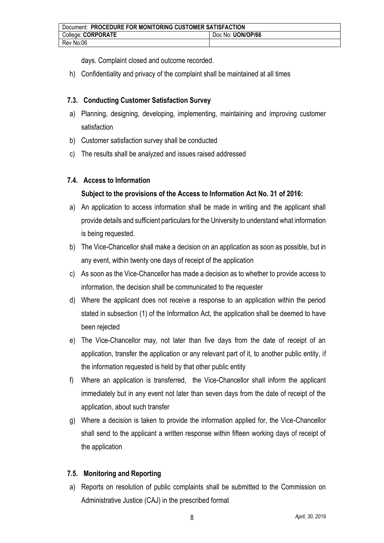days. Complaint closed and outcome recorded.

h) Confidentiality and privacy of the complaint shall be maintained at all times

# **7.3. Conducting Customer Satisfaction Survey**

- a) Planning, designing, developing, implementing, maintaining and improving customer satisfaction
- b) Customer satisfaction survey shall be conducted
- c) The results shall be analyzed and issues raised addressed

# **7.4. Access to Information**

# **Subject to the provisions of the Access to Information Act No. 31 of 2016:**

- a) An application to access information shall be made in writing and the applicant shall provide details and sufficient particulars for the University to understand what information is being requested.
- b) The Vice-Chancellor shall make a decision on an application as soon as possible, but in any event, within twenty one days of receipt of the application
- c) As soon as the Vice-Chancellor has made a decision as to whether to provide access to information, the decision shall be communicated to the requester
- d) Where the applicant does not receive a response to an application within the period stated in subsection (1) of the Information Act, the application shall be deemed to have been rejected
- e) The Vice-Chancellor may, not later than five days from the date of receipt of an application, transfer the application or any relevant part of it, to another public entity, if the information requested is held by that other public entity
- f) Where an application is transferred, the Vice-Chancellor shall inform the applicant immediately but in any event not later than seven days from the date of receipt of the application, about such transfer
- g) Where a decision is taken to provide the information applied for, the Vice-Chancellor shall send to the applicant a written response within fifteen working days of receipt of the application

# **7.5. Monitoring and Reporting**

a) Reports on resolution of public complaints shall be submitted to the Commission on Administrative Justice (CAJ) in the prescribed format